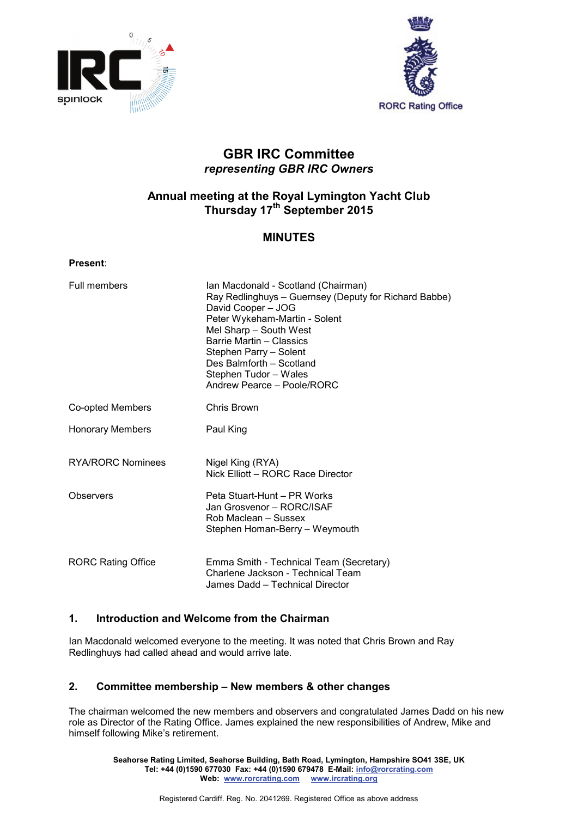



# **GBR IRC Committee** *representing GBR IRC Owners*

# **Annual meeting at the Royal Lymington Yacht Club Thursday 17th September 2015**

# **MINUTES**

| Present:                  |                                                                                                                                                                                                                                                                                                                        |
|---------------------------|------------------------------------------------------------------------------------------------------------------------------------------------------------------------------------------------------------------------------------------------------------------------------------------------------------------------|
| Full members              | Ian Macdonald - Scotland (Chairman)<br>Ray Redlinghuys - Guernsey (Deputy for Richard Babbe)<br>David Cooper - JOG<br>Peter Wykeham-Martin - Solent<br>Mel Sharp - South West<br>Barrie Martin - Classics<br>Stephen Parry - Solent<br>Des Balmforth - Scotland<br>Stephen Tudor - Wales<br>Andrew Pearce - Poole/RORC |
| Co-opted Members          | Chris Brown                                                                                                                                                                                                                                                                                                            |
| <b>Honorary Members</b>   | Paul King                                                                                                                                                                                                                                                                                                              |
| <b>RYA/RORC Nominees</b>  | Nigel King (RYA)<br>Nick Elliott - RORC Race Director                                                                                                                                                                                                                                                                  |
| <b>Observers</b>          | Peta Stuart-Hunt - PR Works<br>Jan Grosvenor - RORC/ISAF<br>Rob Maclean – Sussex<br>Stephen Homan-Berry - Weymouth                                                                                                                                                                                                     |
| <b>RORC Rating Office</b> | Emma Smith - Technical Team (Secretary)<br>Charlene Jackson - Technical Team<br>James Dadd – Technical Director                                                                                                                                                                                                        |

# **1. Introduction and Welcome from the Chairman**

Ian Macdonald welcomed everyone to the meeting. It was noted that Chris Brown and Ray Redlinghuys had called ahead and would arrive late.

# **2. Committee membership – New members & other changes**

The chairman welcomed the new members and observers and congratulated James Dadd on his new role as Director of the Rating Office. James explained the new responsibilities of Andrew, Mike and himself following Mike's retirement.

> **Seahorse Rating Limited, Seahorse Building, Bath Road, Lymington, Hampshire SO41 3SE, UK Tel: +44 (0)1590 677030 Fax: +44 (0)1590 679478 E-Mail: [info@rorcrating.com](mailto:info@rorcrating.com) Web: [www.rorcrating.com](http://www.rorcrating.com/) [www.ircrating.org](http://www.ircrating.org/)**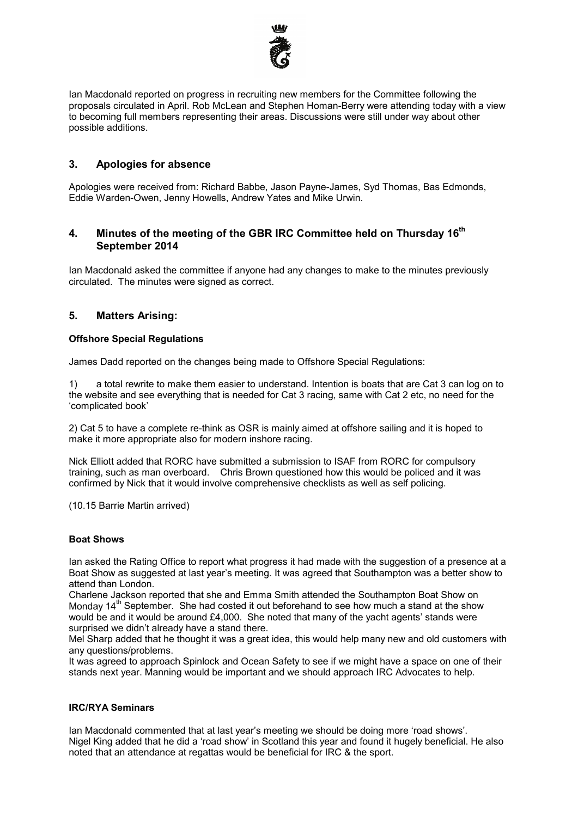

Ian Macdonald reported on progress in recruiting new members for the Committee following the proposals circulated in April. Rob McLean and Stephen Homan-Berry were attending today with a view to becoming full members representing their areas. Discussions were still under way about other possible additions.

# **3. Apologies for absence**

Apologies were received from: Richard Babbe, Jason Payne-James, Syd Thomas, Bas Edmonds, Eddie Warden-Owen, Jenny Howells, Andrew Yates and Mike Urwin.

# **4. Minutes of the meeting of the GBR IRC Committee held on Thursday 16th September 2014**

Ian Macdonald asked the committee if anyone had any changes to make to the minutes previously circulated. The minutes were signed as correct.

## **5. Matters Arising:**

#### **Offshore Special Regulations**

James Dadd reported on the changes being made to Offshore Special Regulations:

1) a total rewrite to make them easier to understand. Intention is boats that are Cat 3 can log on to the website and see everything that is needed for Cat 3 racing, same with Cat 2 etc, no need for the 'complicated book'

2) Cat 5 to have a complete re-think as OSR is mainly aimed at offshore sailing and it is hoped to make it more appropriate also for modern inshore racing.

Nick Elliott added that RORC have submitted a submission to ISAF from RORC for compulsory training, such as man overboard. Chris Brown questioned how this would be policed and it was confirmed by Nick that it would involve comprehensive checklists as well as self policing.

(10.15 Barrie Martin arrived)

#### **Boat Shows**

Ian asked the Rating Office to report what progress it had made with the suggestion of a presence at a Boat Show as suggested at last year's meeting. It was agreed that Southampton was a better show to attend than London.

Charlene Jackson reported that she and Emma Smith attended the Southampton Boat Show on Monday  $14^{\text{th}}$  September. She had costed it out beforehand to see how much a stand at the show would be and it would be around £4,000. She noted that many of the yacht agents' stands were surprised we didn't already have a stand there.

Mel Sharp added that he thought it was a great idea, this would help many new and old customers with any questions/problems.

It was agreed to approach Spinlock and Ocean Safety to see if we might have a space on one of their stands next year. Manning would be important and we should approach IRC Advocates to help.

#### **IRC/RYA Seminars**

Ian Macdonald commented that at last year's meeting we should be doing more 'road shows'. Nigel King added that he did a 'road show' in Scotland this year and found it hugely beneficial. He also noted that an attendance at regattas would be beneficial for IRC & the sport.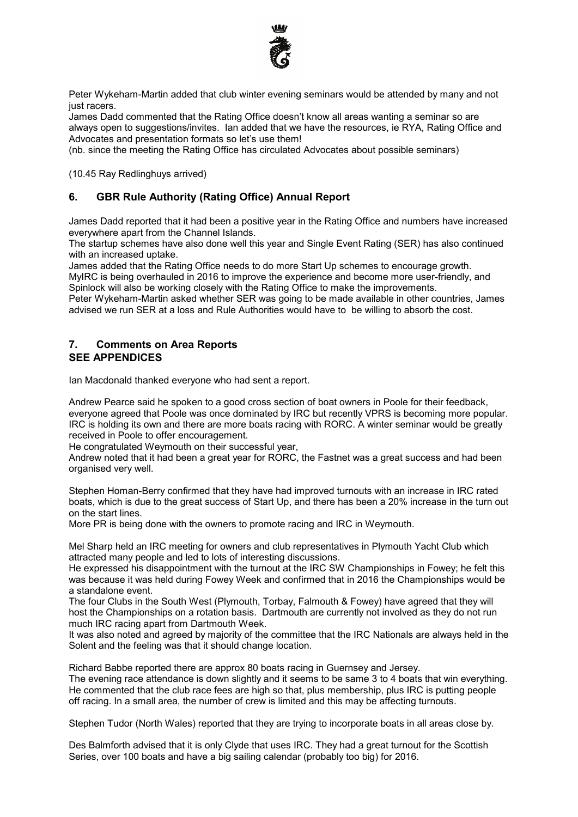

Peter Wykeham-Martin added that club winter evening seminars would be attended by many and not just racers.

James Dadd commented that the Rating Office doesn't know all areas wanting a seminar so are always open to suggestions/invites. Ian added that we have the resources, ie RYA, Rating Office and Advocates and presentation formats so let's use them!

(nb. since the meeting the Rating Office has circulated Advocates about possible seminars)

(10.45 Ray Redlinghuys arrived)

# **6. GBR Rule Authority (Rating Office) Annual Report**

James Dadd reported that it had been a positive year in the Rating Office and numbers have increased everywhere apart from the Channel Islands.

The startup schemes have also done well this year and Single Event Rating (SER) has also continued with an increased uptake.

James added that the Rating Office needs to do more Start Up schemes to encourage growth. MyIRC is being overhauled in 2016 to improve the experience and become more user-friendly, and Spinlock will also be working closely with the Rating Office to make the improvements.

Peter Wykeham-Martin asked whether SER was going to be made available in other countries, James advised we run SER at a loss and Rule Authorities would have to be willing to absorb the cost.

### **7. Comments on Area Reports SEE APPENDICES**

Ian Macdonald thanked everyone who had sent a report.

Andrew Pearce said he spoken to a good cross section of boat owners in Poole for their feedback, everyone agreed that Poole was once dominated by IRC but recently VPRS is becoming more popular. IRC is holding its own and there are more boats racing with RORC. A winter seminar would be greatly received in Poole to offer encouragement.

He congratulated Weymouth on their successful year,

Andrew noted that it had been a great year for RORC, the Fastnet was a great success and had been organised very well.

Stephen Homan-Berry confirmed that they have had improved turnouts with an increase in IRC rated boats, which is due to the great success of Start Up, and there has been a 20% increase in the turn out on the start lines.

More PR is being done with the owners to promote racing and IRC in Weymouth.

Mel Sharp held an IRC meeting for owners and club representatives in Plymouth Yacht Club which attracted many people and led to lots of interesting discussions.

He expressed his disappointment with the turnout at the IRC SW Championships in Fowey; he felt this was because it was held during Fowey Week and confirmed that in 2016 the Championships would be a standalone event.

The four Clubs in the South West (Plymouth, Torbay, Falmouth & Fowey) have agreed that they will host the Championships on a rotation basis. Dartmouth are currently not involved as they do not run much IRC racing apart from Dartmouth Week.

It was also noted and agreed by majority of the committee that the IRC Nationals are always held in the Solent and the feeling was that it should change location.

Richard Babbe reported there are approx 80 boats racing in Guernsey and Jersey.

The evening race attendance is down slightly and it seems to be same 3 to 4 boats that win everything. He commented that the club race fees are high so that, plus membership, plus IRC is putting people off racing. In a small area, the number of crew is limited and this may be affecting turnouts.

Stephen Tudor (North Wales) reported that they are trying to incorporate boats in all areas close by.

Des Balmforth advised that it is only Clyde that uses IRC. They had a great turnout for the Scottish Series, over 100 boats and have a big sailing calendar (probably too big) for 2016.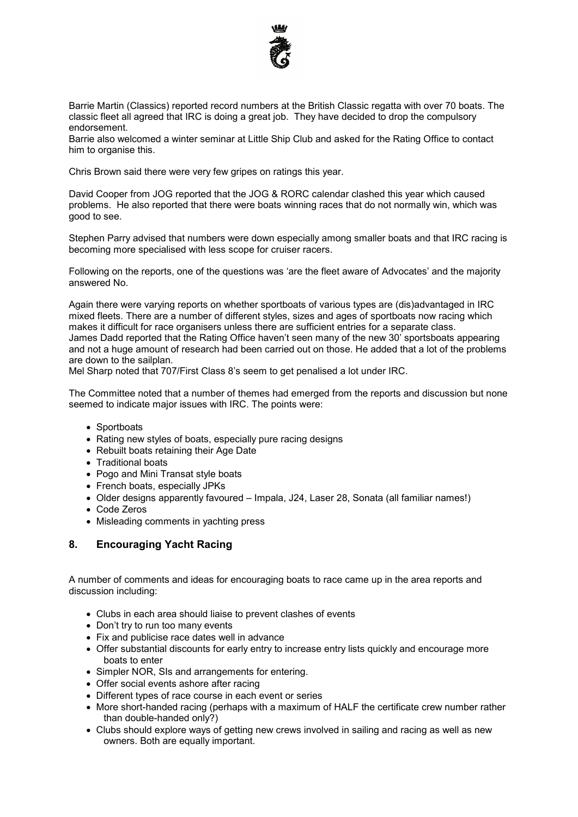

Barrie Martin (Classics) reported record numbers at the British Classic regatta with over 70 boats. The classic fleet all agreed that IRC is doing a great job. They have decided to drop the compulsory endorsement.

Barrie also welcomed a winter seminar at Little Ship Club and asked for the Rating Office to contact him to organise this.

Chris Brown said there were very few gripes on ratings this year.

David Cooper from JOG reported that the JOG & RORC calendar clashed this year which caused problems. He also reported that there were boats winning races that do not normally win, which was good to see.

Stephen Parry advised that numbers were down especially among smaller boats and that IRC racing is becoming more specialised with less scope for cruiser racers.

Following on the reports, one of the questions was 'are the fleet aware of Advocates' and the majority answered No.

Again there were varying reports on whether sportboats of various types are (dis)advantaged in IRC mixed fleets. There are a number of different styles, sizes and ages of sportboats now racing which makes it difficult for race organisers unless there are sufficient entries for a separate class. James Dadd reported that the Rating Office haven't seen many of the new 30' sportsboats appearing and not a huge amount of research had been carried out on those. He added that a lot of the problems are down to the sailplan.

Mel Sharp noted that 707/First Class 8's seem to get penalised a lot under IRC.

The Committee noted that a number of themes had emerged from the reports and discussion but none seemed to indicate major issues with IRC. The points were:

- Sportboats
- Rating new styles of boats, especially pure racing designs
- Rebuilt boats retaining their Age Date
- Traditional boats
- Pogo and Mini Transat style boats
- French boats, especially JPKs
- Older designs apparently favoured Impala, J24, Laser 28, Sonata (all familiar names!)
- Code Zeros
- Misleading comments in yachting press

### **8. Encouraging Yacht Racing**

A number of comments and ideas for encouraging boats to race came up in the area reports and discussion including:

- Clubs in each area should liaise to prevent clashes of events
- Don't try to run too many events
- Fix and publicise race dates well in advance
- Offer substantial discounts for early entry to increase entry lists quickly and encourage more boats to enter
- Simpler NOR, SIs and arrangements for entering.
- Offer social events ashore after racing
- Different types of race course in each event or series
- More short-handed racing (perhaps with a maximum of HALF the certificate crew number rather than double-handed only?)
- Clubs should explore ways of getting new crews involved in sailing and racing as well as new owners. Both are equally important.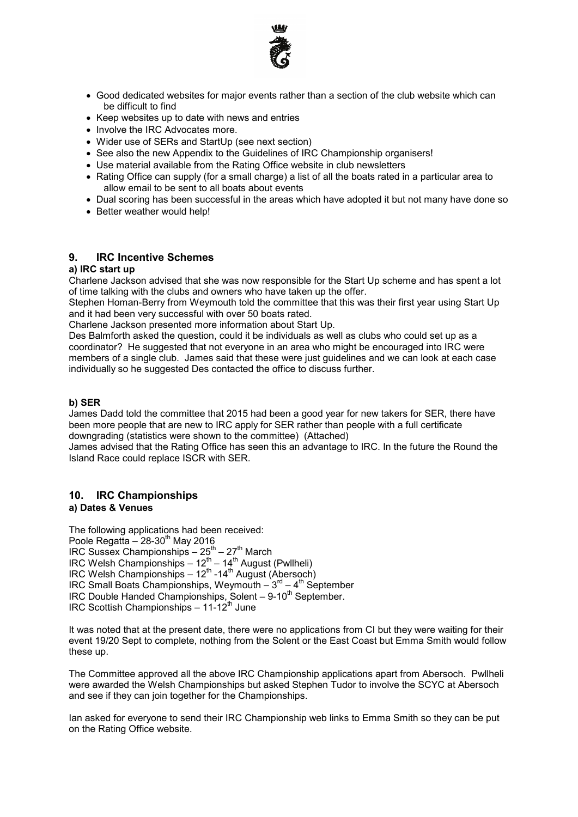

- Good dedicated websites for major events rather than a section of the club website which can be difficult to find
- Keep websites up to date with news and entries
- Involve the IRC Advocates more.
- Wider use of SERs and StartUp (see next section)
- See also the new Appendix to the Guidelines of IRC Championship organisers!
- Use material available from the Rating Office website in club newsletters
- Rating Office can supply (for a small charge) a list of all the boats rated in a particular area to allow email to be sent to all boats about events
- Dual scoring has been successful in the areas which have adopted it but not many have done so
- Better weather would help!

### **9. IRC Incentive Schemes**

#### **a) IRC start up**

Charlene Jackson advised that she was now responsible for the Start Up scheme and has spent a lot of time talking with the clubs and owners who have taken up the offer.

Stephen Homan-Berry from Weymouth told the committee that this was their first year using Start Up and it had been very successful with over 50 boats rated.

Charlene Jackson presented more information about Start Up.

Des Balmforth asked the question, could it be individuals as well as clubs who could set up as a coordinator? He suggested that not everyone in an area who might be encouraged into IRC were members of a single club. James said that these were just guidelines and we can look at each case individually so he suggested Des contacted the office to discuss further.

#### **b) SER**

James Dadd told the committee that 2015 had been a good year for new takers for SER, there have been more people that are new to IRC apply for SER rather than people with a full certificate downgrading (statistics were shown to the committee) (Attached)

James advised that the Rating Office has seen this an advantage to IRC. In the future the Round the Island Race could replace ISCR with SER.

# **10. IRC Championships**

### **a) Dates & Venues**

The following applications had been received: Poole Regatta  $-28-30^{th}$  May 2016 IRC Sussex Championships  $-25^{th} - 27^{th}$  March IRC Welsh Championships  $-12^{th}$  –  $14^{th}$  August (Pwllheli) IRC Welsh Championships –  $12^{th}$  -14<sup>th</sup> August (Abersoch) IRC Small Boats Championships, Weymouth  $-3^{rd} - 4^{th}$  September  $\text{IRC}$  Double Handed Championships, Solent – 9-10<sup>th</sup> September. IRC Scottish Championships  $-11-12^{th}$  June

It was noted that at the present date, there were no applications from CI but they were waiting for their event 19/20 Sept to complete, nothing from the Solent or the East Coast but Emma Smith would follow these up.

The Committee approved all the above IRC Championship applications apart from Abersoch. Pwllheli were awarded the Welsh Championships but asked Stephen Tudor to involve the SCYC at Abersoch and see if they can join together for the Championships.

Ian asked for everyone to send their IRC Championship web links to Emma Smith so they can be put on the Rating Office website.